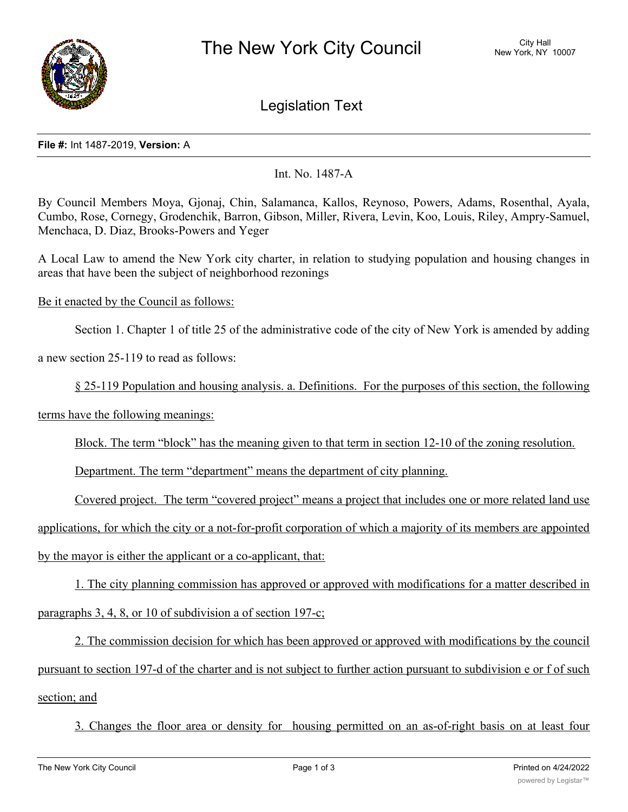

Legislation Text

## **File #:** Int 1487-2019, **Version:** A

Int. No. 1487-A

By Council Members Moya, Gjonaj, Chin, Salamanca, Kallos, Reynoso, Powers, Adams, Rosenthal, Ayala, Cumbo, Rose, Cornegy, Grodenchik, Barron, Gibson, Miller, Rivera, Levin, Koo, Louis, Riley, Ampry-Samuel, Menchaca, D. Diaz, Brooks-Powers and Yeger

A Local Law to amend the New York city charter, in relation to studying population and housing changes in areas that have been the subject of neighborhood rezonings

Be it enacted by the Council as follows:

Section 1. Chapter 1 of title 25 of the administrative code of the city of New York is amended by adding

a new section 25-119 to read as follows:

§ 25-119 Population and housing analysis. a. Definitions. For the purposes of this section, the following

terms have the following meanings:

Block. The term "block" has the meaning given to that term in section 12-10 of the zoning resolution.

Department. The term "department" means the department of city planning.

Covered project. The term "covered project" means a project that includes one or more related land use

applications, for which the city or a not-for-profit corporation of which a majority of its members are appointed by the mayor is either the applicant or a co-applicant, that:

1. The city planning commission has approved or approved with modifications for a matter described in

paragraphs 3, 4, 8, or 10 of subdivision a of section 197-c;

2. The commission decision for which has been approved or approved with modifications by the council pursuant to section 197-d of the charter and is not subject to further action pursuant to subdivision e or f of such section; and

3. Changes the floor area or density for housing permitted on an as-of-right basis on at least four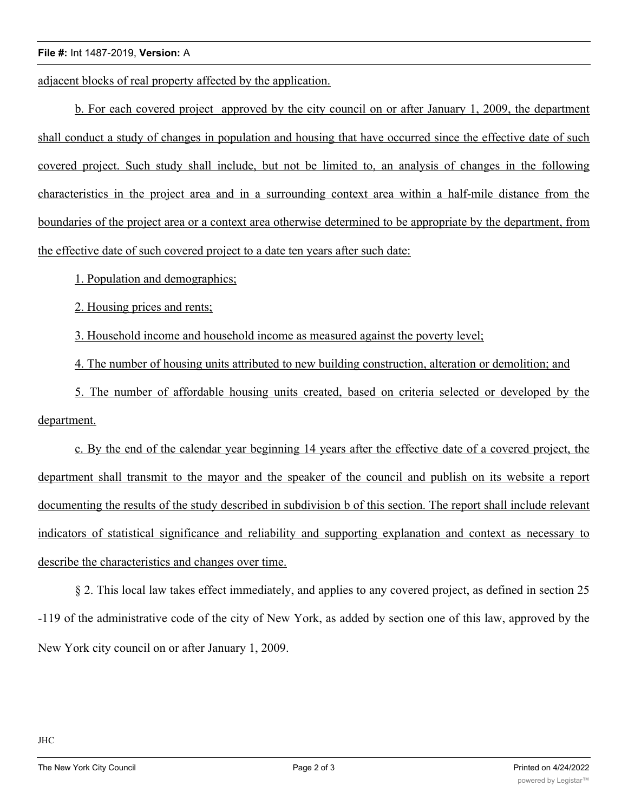## **File #:** Int 1487-2019, **Version:** A

adjacent blocks of real property affected by the application.

b. For each covered project approved by the city council on or after January 1, 2009, the department shall conduct a study of changes in population and housing that have occurred since the effective date of such covered project. Such study shall include, but not be limited to, an analysis of changes in the following characteristics in the project area and in a surrounding context area within a half-mile distance from the boundaries of the project area or a context area otherwise determined to be appropriate by the department, from the effective date of such covered project to a date ten years after such date:

1. Population and demographics;

2. Housing prices and rents;

3. Household income and household income as measured against the poverty level;

4. The number of housing units attributed to new building construction, alteration or demolition; and

5. The number of affordable housing units created, based on criteria selected or developed by the department.

c. By the end of the calendar year beginning 14 years after the effective date of a covered project, the department shall transmit to the mayor and the speaker of the council and publish on its website a report documenting the results of the study described in subdivision b of this section. The report shall include relevant indicators of statistical significance and reliability and supporting explanation and context as necessary to describe the characteristics and changes over time.

§ 2. This local law takes effect immediately, and applies to any covered project, as defined in section 25 -119 of the administrative code of the city of New York, as added by section one of this law, approved by the New York city council on or after January 1, 2009.